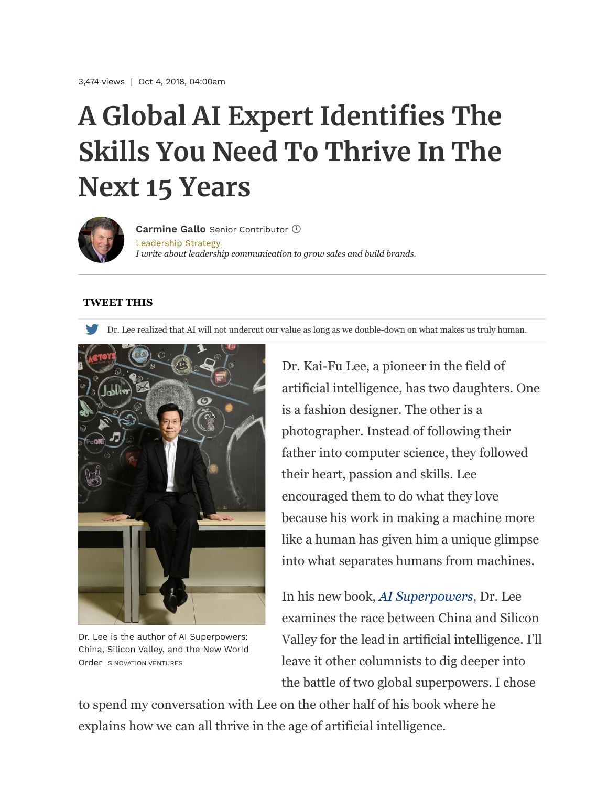## **A Global AI Expert Identies The Skills You Need To Thrive In The Next 15 Years**



[Leadership](https://www.forbes.com/leadership-strategy/) Strategy *I write about leadership communication to grow sales and build brands.* **[Carmine](https://www.forbes.com/sites/carminegallo/) Gallo** Senior Contributor **i**

## **TWEET THIS**

[Dr. Lee realized that AI will not undercut our value as long as we double-down on what makes us truly human.](https://twitter.com/intent/tweet?url=http%3A%2F%2Fwww.forbes.com%2Fsites%2Fcarminegallo%2F2018%2F10%2F04%2Fa-global-ai-expert-identifies-the-skills-you-need-to-thrive-in-the-next-15-years%2F&text=Dr.%20Lee%20realized%20that%20AI%20will%20not%20undercut%20our%20value%20as%20long%20as%20we%20double-down%20on%20what%20makes%20us%20truly%20human.)



Dr. Lee is the author of AI Superpowers: China, Silicon Valley, and the New World Order SINOVATION VENTURES

Dr. Kai-Fu Lee, a pioneer in the field of artificial intelligence, has two daughters. One is a fashion designer. The other is a photographer. Instead of following their father into computer science, they followed their heart, passion and skills. Lee encouraged them to do what they love because his work in making a machine more like a human has given him a unique glimpse into what separates humans from machines.

In his new book, *[AI Superpowers](https://www.amazon.com/AI-Superpowers-China-Silicon-Valley/dp/132854639X/ref=tmm_hrd_swatch_0?_encoding=UTF8&qid=1538621716&sr=1-1)*, Dr. Lee examines the race between China and Silicon Valley for the lead in artificial intelligence. I'll leave it other columnists to dig deeper into the battle of two global superpowers. I chose

to spend my conversation with Lee on the other half of his book where he explains how we can all thrive in the age of artificial intelligence.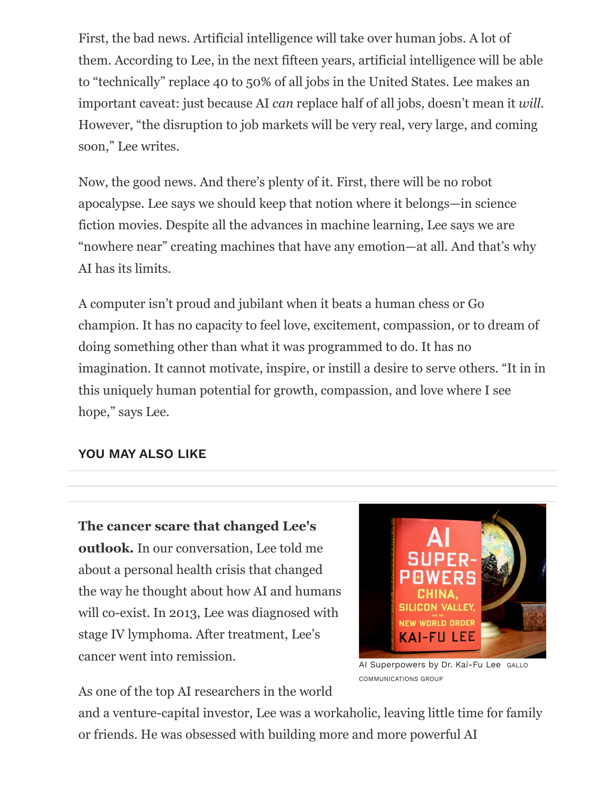First, the bad news. Artificial intelligence will take over human jobs. A lot of them. According to Lee, in the next fifteen years, artificial intelligence will be able to "technically" replace 40 to 50% of all jobs in the United States. Lee makes an important caveat: just because AI *can* replace half of all jobs, doesn't mean it *will*. However, "the disruption to job markets will be very real, very large, and coming soon," Lee writes.

Now, the good news. And there's plenty of it. First, there will be no robot apocalypse. Lee says we should keep that notion where it belongs—in science fiction movies. Despite all the advances in machine learning, Lee says we are "nowhere near" creating machines that have any emotion—at all. And that's why AI has its limits.

A computer isn't proud and jubilant when it beats a human chess or Go champion. It has no capacity to feel love, excitement, compassion, or to dream of doing something other than what it was programmed to do. It has no imagination. It cannot motivate, inspire, or instill a desire to serve others. "It in in this uniquely human potential for growth, compassion, and love where I see hope," says Lee.

## **YOU MAY ALSO LIKE**

**The cancer scare that changed Lee's outlook.** In our conversation, Lee told me about a personal health crisis that changed the way he thought about how AI and humans will co-exist. In 2013, Lee was diagnosed with stage IV lymphoma. After treatment, Lee's cancer went into remission.



AI Superpowers by Dr. Kai-Fu Lee GALLO COMMUNICATIONS GROUP

As one of the top AI researchers in the world

and a venture-capital investor, Lee was a workaholic, leaving little time for family or friends. He was obsessed with building more and more powerful AI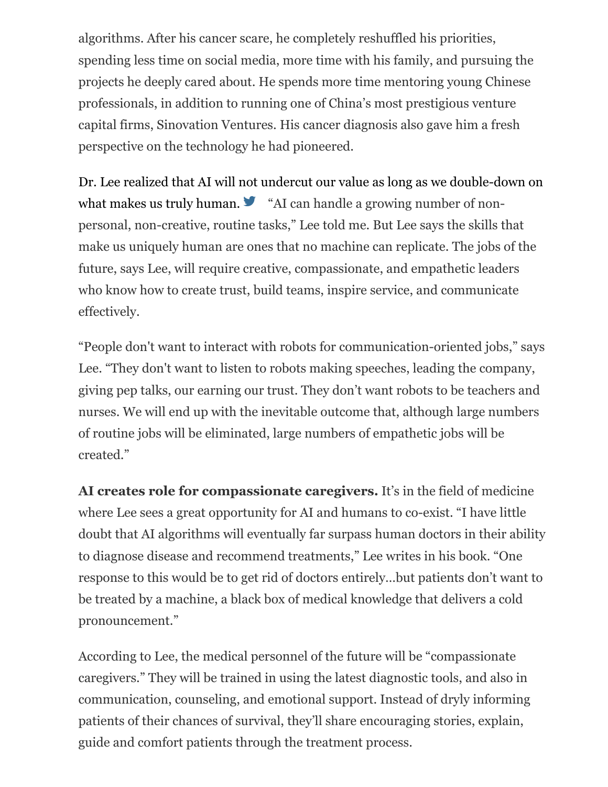algorithms. After his cancer scare, he completely reshuffled his priorities, spending less time on social media, more time with his family, and pursuing the projects he deeply cared about. He spends more time mentoring young Chinese professionals, in addition to running one of China's most prestigious venture capital firms, Sinovation Ventures. His cancer diagnosis also gave him a fresh perspective on the technology he had pioneered.

[Dr. Lee realized that AI will not undercut our value as long as we double-down on](https://twitter.com/intent/tweet?url=http%3A%2F%2Fwww.forbes.com%2Fsites%2Fcarminegallo%2F2018%2F10%2F04%2Fa-global-ai-expert-identifies-the-skills-you-need-to-thrive-in-the-next-15-years%2F&text=Dr.%20Lee%20realized%20that%20AI%20will%20not%20undercut%20our%20value%20as%20long%20as%20we%20double-down%20on%20what%20makes%20us%20truly%20human.) what makes us truly human.  $\blacktriangleright$  "AI can handle a growing number of nonpersonal, non-creative, routine tasks," Lee told me. But Lee says the skills that make us uniquely human are ones that no machine can replicate. The jobs of the future, says Lee, will require creative, compassionate, and empathetic leaders who know how to create trust, build teams, inspire service, and communicate effectively.

"People don't want to interact with robots for communication-oriented jobs," says Lee. "They don't want to listen to robots making speeches, leading the company, giving pep talks, our earning our trust. They don't want robots to be teachers and nurses. We will end up with the inevitable outcome that, although large numbers of routine jobs will be eliminated, large numbers of empathetic jobs will be created."

**AI creates role for compassionate caregivers.** It's in the field of medicine where Lee sees a great opportunity for AI and humans to co-exist. "I have little doubt that AI algorithms will eventually far surpass human doctors in their ability to diagnose disease and recommend treatments," Lee writes in his book. "One response to this would be to get rid of doctors entirely…but patients don't want to be treated by a machine, a black box of medical knowledge that delivers a cold pronouncement."

According to Lee, the medical personnel of the future will be "compassionate caregivers." They will be trained in using the latest diagnostic tools, and also in communication, counseling, and emotional support. Instead of dryly informing patients of their chances of survival, they'll share encouraging stories, explain, guide and comfort patients through the treatment process.